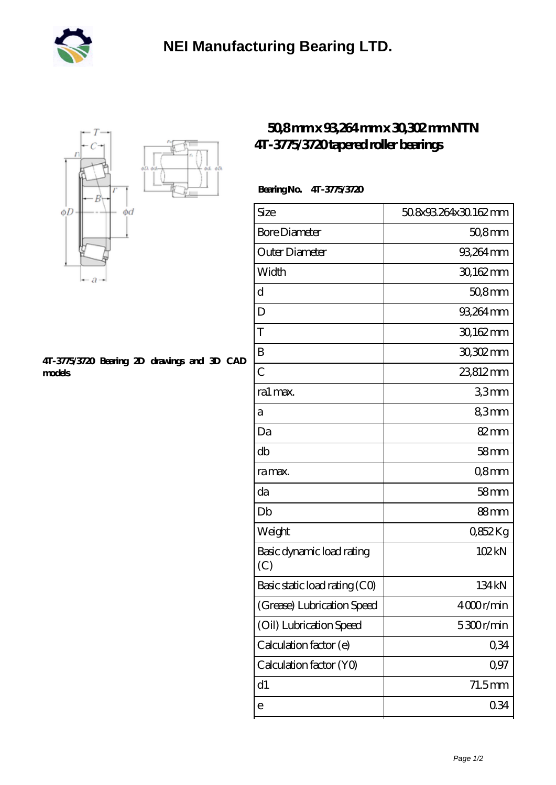



## **[4T-3775/3720 Bearing 2D drawings and 3D CAD](https://mtogr.com/pic-25871.html) [models](https://mtogr.com/pic-25871.html)**

## **[50,8 mm x 93,264 mm x 30,302 mm NTN](https://mtogr.com/au-25871-ntn-4t-3775-3720-tapered-roller-bearings.html) [4T-3775/3720 tapered roller bearings](https://mtogr.com/au-25871-ntn-4t-3775-3720-tapered-roller-bearings.html)**

## **Bearing No. 4T-3775/3720**

| Size                             | 50.8x93.264x30.162.mm |
|----------------------------------|-----------------------|
| <b>Bore Diameter</b>             | $508$ mm              |
| Outer Diameter                   | 93,264 mm             |
| Width                            | 30,162mm              |
| d                                | $508$ mm              |
| D                                | 93,264 mm             |
| T                                | 30,162mm              |
| B                                | 30,302mm              |
| $\overline{C}$                   | 23812mm               |
| ra1 max.                         | 33mm                  |
| а                                | 83mm                  |
| Da                               | 82mm                  |
| db                               | 58 <sub>mm</sub>      |
| ra max.                          | Q8mm                  |
| da                               | 58 <sub>mm</sub>      |
| Db                               | 88 <sub>mm</sub>      |
| Weight                           | 0852Kg                |
| Basic dynamic load rating<br>(C) | 102kN                 |
| Basic static load rating (CO)    | 134 <sub>kN</sub>     |
| (Grease) Lubrication Speed       | 4000r/min             |
| (Oil) Lubrication Speed          | 5300r/min             |
| Calculation factor (e)           | 0,34                  |
| Calculation factor (YO)          | 0,97                  |
| d1                               | $71.5$ mm             |
| е                                | 0.34                  |